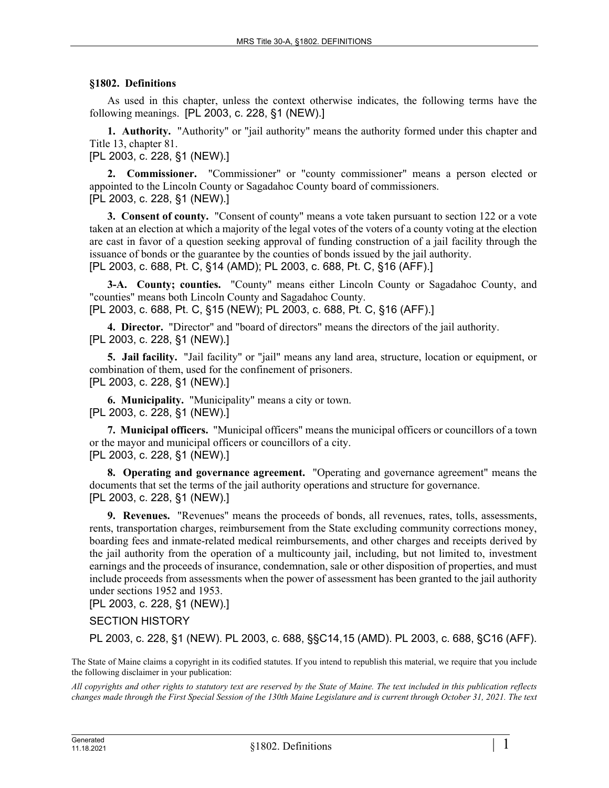## **§1802. Definitions**

As used in this chapter, unless the context otherwise indicates, the following terms have the following meanings. [PL 2003, c. 228, §1 (NEW).]

**1. Authority.** "Authority" or "jail authority" means the authority formed under this chapter and Title 13, chapter 81.

[PL 2003, c. 228, §1 (NEW).]

**2. Commissioner.** "Commissioner" or "county commissioner" means a person elected or appointed to the Lincoln County or Sagadahoc County board of commissioners. [PL 2003, c. 228, §1 (NEW).]

**3. Consent of county.** "Consent of county" means a vote taken pursuant to section 122 or a vote taken at an election at which a majority of the legal votes of the voters of a county voting at the election are cast in favor of a question seeking approval of funding construction of a jail facility through the issuance of bonds or the guarantee by the counties of bonds issued by the jail authority. [PL 2003, c. 688, Pt. C, §14 (AMD); PL 2003, c. 688, Pt. C, §16 (AFF).]

**3-A. County; counties.** "County" means either Lincoln County or Sagadahoc County, and "counties" means both Lincoln County and Sagadahoc County.

[PL 2003, c. 688, Pt. C, §15 (NEW); PL 2003, c. 688, Pt. C, §16 (AFF).]

**4. Director.** "Director" and "board of directors" means the directors of the jail authority. [PL 2003, c. 228, §1 (NEW).]

**5. Jail facility.** "Jail facility" or "jail" means any land area, structure, location or equipment, or combination of them, used for the confinement of prisoners. [PL 2003, c. 228, §1 (NEW).]

**6. Municipality.** "Municipality" means a city or town. [PL 2003, c. 228, §1 (NEW).]

**7. Municipal officers.** "Municipal officers" means the municipal officers or councillors of a town or the mayor and municipal officers or councillors of a city. [PL 2003, c. 228, §1 (NEW).]

**8. Operating and governance agreement.** "Operating and governance agreement" means the documents that set the terms of the jail authority operations and structure for governance. [PL 2003, c. 228, §1 (NEW).]

**9. Revenues.** "Revenues" means the proceeds of bonds, all revenues, rates, tolls, assessments, rents, transportation charges, reimbursement from the State excluding community corrections money, boarding fees and inmate-related medical reimbursements, and other charges and receipts derived by the jail authority from the operation of a multicounty jail, including, but not limited to, investment earnings and the proceeds of insurance, condemnation, sale or other disposition of properties, and must include proceeds from assessments when the power of assessment has been granted to the jail authority under sections 1952 and 1953.

[PL 2003, c. 228, §1 (NEW).]

## SECTION HISTORY

PL 2003, c. 228, §1 (NEW). PL 2003, c. 688, §§C14,15 (AMD). PL 2003, c. 688, §C16 (AFF).

The State of Maine claims a copyright in its codified statutes. If you intend to republish this material, we require that you include the following disclaimer in your publication:

*All copyrights and other rights to statutory text are reserved by the State of Maine. The text included in this publication reflects changes made through the First Special Session of the 130th Maine Legislature and is current through October 31, 2021. The text*